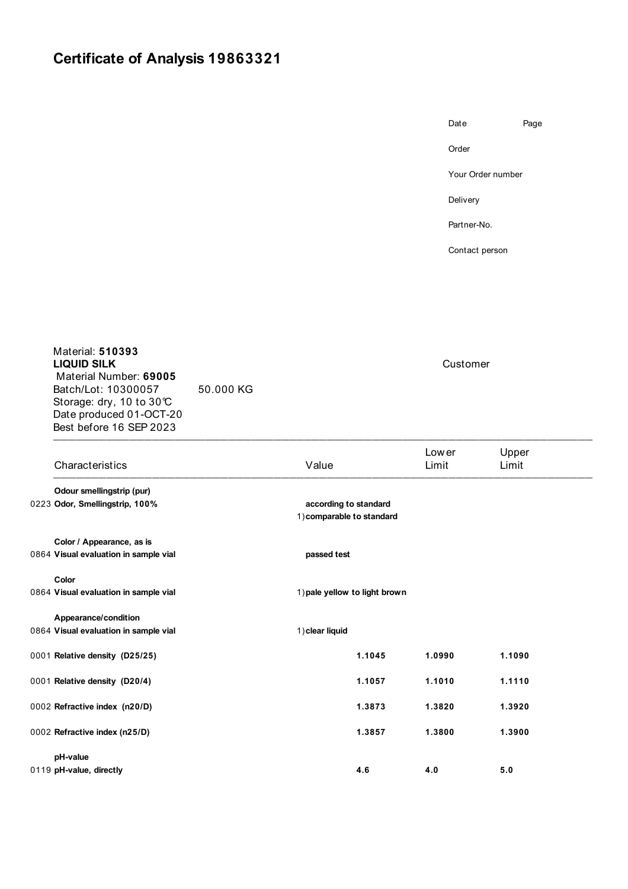## **Certificate of Analysis 19863321**

Date Page Order

Your Order number

Delivery

Partner-No.

Contact person

 $\blacksquare$ Material: **510393 LIQUID SILK** Customer Material Number: **69005** Batch/Lot: 10300057 50.000 KG Storage: dry, 10 to 30℃ Date produced 01-OCT-20 Best before 16 SEP 2023

| Characteristics                                                    | Value                                              | Lower<br>Limit | Upper<br>Limit |  |  |  |
|--------------------------------------------------------------------|----------------------------------------------------|----------------|----------------|--|--|--|
| Odour smellingstrip (pur)<br>0223 Odor, Smellingstrip, 100%        | according to standard<br>1) comparable to standard |                |                |  |  |  |
| Color / Appearance, as is<br>0864 Visual evaluation in sample vial | passed test                                        |                |                |  |  |  |
| Color<br>0864 Visual evaluation in sample vial                     | 1) pale yellow to light brown                      |                |                |  |  |  |
| Appearance/condition<br>0864 Visual evaluation in sample vial      | 1) clear liquid                                    |                |                |  |  |  |
| 0001 Relative density (D25/25)                                     | 1.1045                                             | 1.0990         | 1.1090         |  |  |  |
| 0001 Relative density (D20/4)                                      | 1.1057                                             | 1.1010         | 1.1110         |  |  |  |
| 0002 Refractive index (n20/D)                                      | 1.3873                                             | 1.3820         | 1.3920         |  |  |  |
| 0002 Refractive index (n25/D)                                      | 1.3857                                             | 1.3800         | 1.3900         |  |  |  |
| pH-value<br>0119 pH-value, directly                                | 4.6                                                | 4.0            | 5.0            |  |  |  |